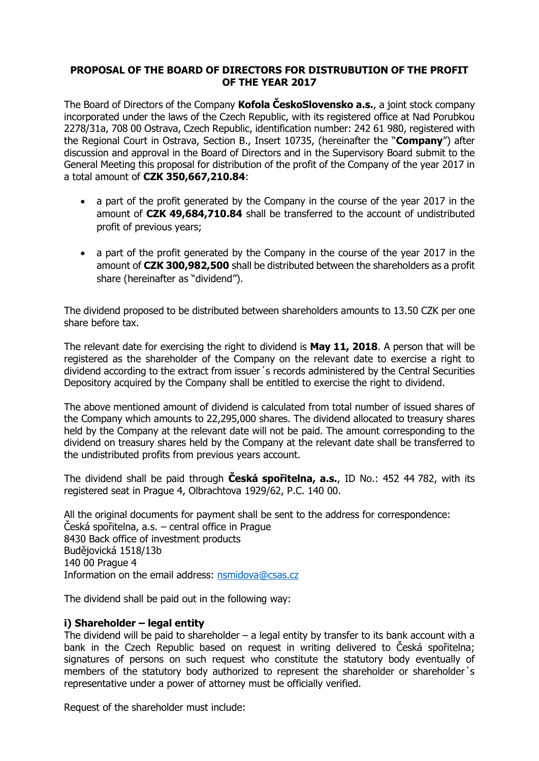# **PROPOSAL OF THE BOARD OF DIRECTORS FOR DISTRUBUTION OF THE PROFIT OF THE YEAR 2017**

The Board of Directors of the Company **Kofola ČeskoSlovensko a.s.**, a joint stock company incorporated under the laws of the Czech Republic, with its registered office at Nad Porubkou 2278/31a, 708 00 Ostrava, Czech Republic, identification number: 242 61 980, registered with the Regional Court in Ostrava, Section B., Insert 10735, (hereinafter the "**Company**") after discussion and approval in the Board of Directors and in the Supervisory Board submit to the General Meeting this proposal for distribution of the profit of the Company of the year 2017 in a total amount of **CZK 350,667,210.84**:

- a part of the profit generated by the Company in the course of the year 2017 in the amount of **CZK 49,684,710.84** shall be transferred to the account of undistributed profit of previous years;
- a part of the profit generated by the Company in the course of the year 2017 in the amount of **CZK 300,982,500** shall be distributed between the shareholders as a profit share (hereinafter as "dividend").

The dividend proposed to be distributed between shareholders amounts to 13.50 CZK per one share before tax.

The relevant date for exercising the right to dividend is **May 11, 2018**. A person that will be registered as the shareholder of the Company on the relevant date to exercise a right to dividend according to the extract from issuer´s records administered by the Central Securities Depository acquired by the Company shall be entitled to exercise the right to dividend.

The above mentioned amount of dividend is calculated from total number of issued shares of the Company which amounts to 22,295,000 shares. The dividend allocated to treasury shares held by the Company at the relevant date will not be paid. The amount corresponding to the dividend on treasury shares held by the Company at the relevant date shall be transferred to the undistributed profits from previous years account.

The dividend shall be paid through **Česká spořitelna, a.s.**, ID No.: 452 44 782, with its registered seat in Prague 4, Olbrachtova 1929/62, P.C. 140 00.

All the original documents for payment shall be sent to the address for correspondence: Česká spořitelna, a.s. – central office in Prague 8430 Back office of investment products Budějovická 1518/13b 140 00 Prague 4 Information on the email address: [nsmidova@csas.cz](mailto:nsmidova@csas.cz)

The dividend shall be paid out in the following way:

## **i) Shareholder – legal entity**

The dividend will be paid to shareholder  $-$  a legal entity by transfer to its bank account with a bank in the Czech Republic based on request in writing delivered to Česká spořitelna; signatures of persons on such request who constitute the statutory body eventually of members of the statutory body authorized to represent the shareholder or shareholder's representative under a power of attorney must be officially verified.

Request of the shareholder must include: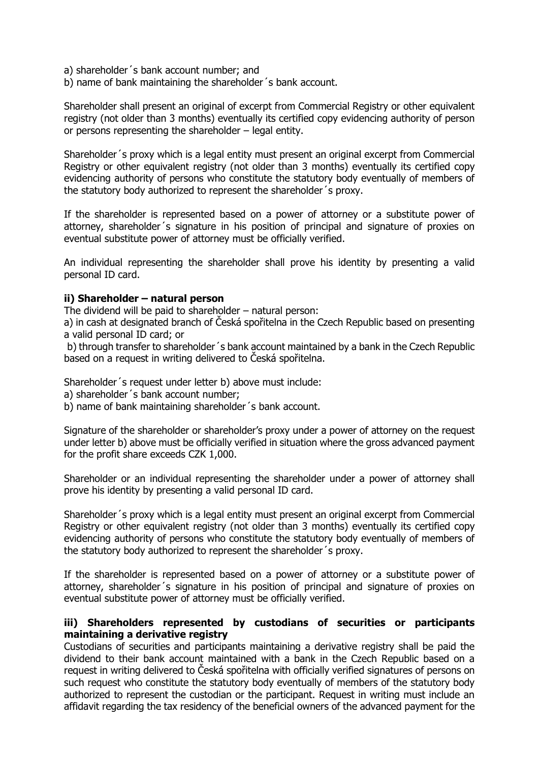- a) shareholder´s bank account number; and
- b) name of bank maintaining the shareholder´s bank account.

Shareholder shall present an original of excerpt from Commercial Registry or other equivalent registry (not older than 3 months) eventually its certified copy evidencing authority of person or persons representing the shareholder – legal entity.

Shareholder´s proxy which is a legal entity must present an original excerpt from Commercial Registry or other equivalent registry (not older than 3 months) eventually its certified copy evidencing authority of persons who constitute the statutory body eventually of members of the statutory body authorized to represent the shareholder´s proxy.

If the shareholder is represented based on a power of attorney or a substitute power of attorney, shareholder´s signature in his position of principal and signature of proxies on eventual substitute power of attorney must be officially verified.

An individual representing the shareholder shall prove his identity by presenting a valid personal ID card.

## **ii) Shareholder – natural person**

The dividend will be paid to shareholder – natural person:

a) in cash at designated branch of Česká spořitelna in the Czech Republic based on presenting a valid personal ID card; or

b) through transfer to shareholder´s bank account maintained by a bank in the Czech Republic based on a request in writing delivered to Česká spořitelna.

Shareholder´s request under letter b) above must include:

- a) shareholder´s bank account number;
- b) name of bank maintaining shareholder´s bank account.

Signature of the shareholder or shareholder's proxy under a power of attorney on the request under letter b) above must be officially verified in situation where the gross advanced payment for the profit share exceeds CZK 1,000.

Shareholder or an individual representing the shareholder under a power of attorney shall prove his identity by presenting a valid personal ID card.

Shareholder´s proxy which is a legal entity must present an original excerpt from Commercial Registry or other equivalent registry (not older than 3 months) eventually its certified copy evidencing authority of persons who constitute the statutory body eventually of members of the statutory body authorized to represent the shareholder´s proxy.

If the shareholder is represented based on a power of attorney or a substitute power of attorney, shareholder´s signature in his position of principal and signature of proxies on eventual substitute power of attorney must be officially verified.

## **iii) Shareholders represented by custodians of securities or participants maintaining a derivative registry**

Custodians of securities and participants maintaining a derivative registry shall be paid the dividend to their bank account maintained with a bank in the Czech Republic based on a request in writing delivered to Česká spořitelna with officially verified signatures of persons on such request who constitute the statutory body eventually of members of the statutory body authorized to represent the custodian or the participant. Request in writing must include an affidavit regarding the tax residency of the beneficial owners of the advanced payment for the